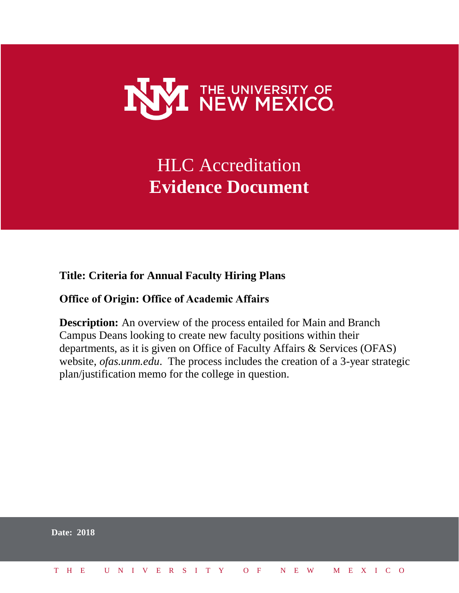

### HLC Accreditation **Evidence Document**

#### **Title: Criteria for Annual Faculty Hiring Plans**

#### **Office of Origin: Office of Academic Affairs**

**Description:** An overview of the process entailed for Main and Branch Campus Deans looking to create new faculty positions within their departments, as it is given on Office of Faculty Affairs & Services (OFAS) website, *ofas.unm.edu*. The process includes the creation of a 3-year strategic plan/justification memo for the college in question.

|  | <b>Date: 2018</b>            |  |  |  |  |  |  |  |  |  |  |  |  |  |
|--|------------------------------|--|--|--|--|--|--|--|--|--|--|--|--|--|
|  | THE UNIVERSITY OF NEW MEXICO |  |  |  |  |  |  |  |  |  |  |  |  |  |